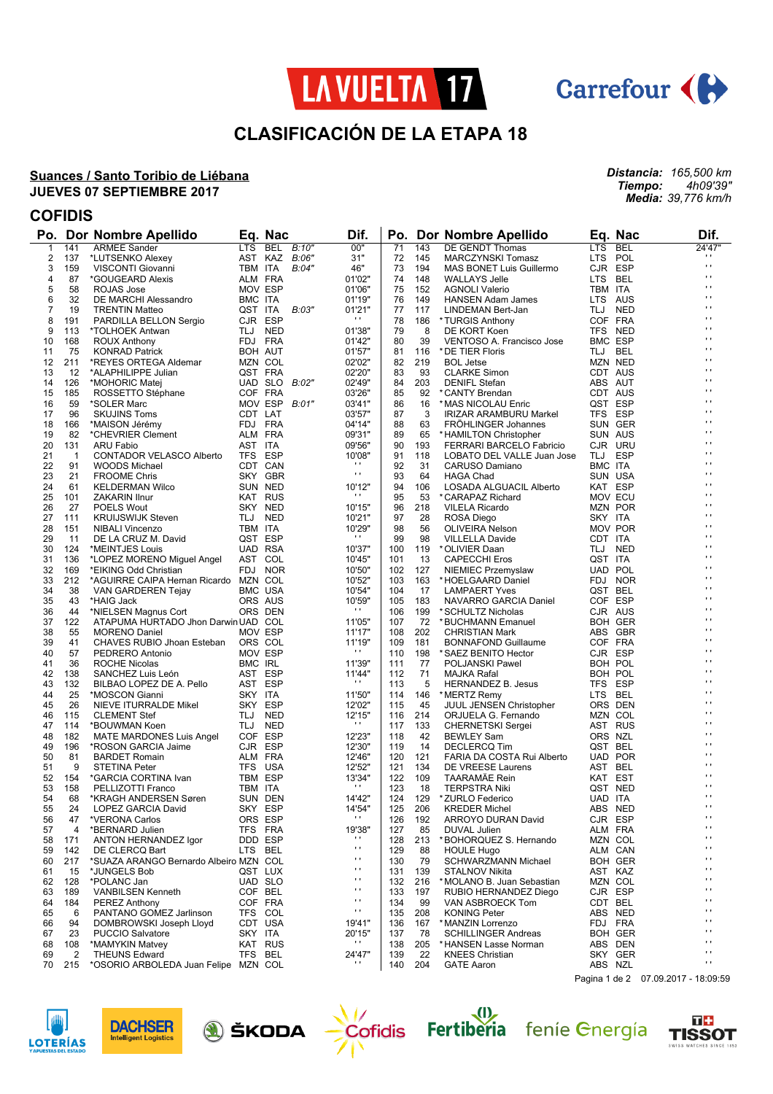



*Distancia: 165,500 km Tiempo: 4h09'39" Media: 39,776 km/h*

# **CLASIFICACIÓN DE LA ETAPA 18**

#### **Suances / Santo Toribio de Liébana JUEVES 07 SEPTIEMBRE 2017**

## **COFIDIS**

| Po.          |                | Dor Nombre Apellido                           |                | Eq. Nac             | Dif.                   |            |            | Po. Dor Nombre Apellido                |            | Eq. Nac            | Dif.                             |
|--------------|----------------|-----------------------------------------------|----------------|---------------------|------------------------|------------|------------|----------------------------------------|------------|--------------------|----------------------------------|
| $\mathbf{1}$ | 141            | <b>ARMEE Sander</b>                           | <b>LTS</b>     | <b>BEL</b><br>B:10" | 00"                    | 71         | 143        | DE GENDT Thomas                        | <b>LTS</b> | <b>BEL</b>         | 24'47"                           |
| 2            | 137            | *LUTSENKO Alexey                              |                | AST KAZ<br>B:06"    | 31"                    | 72         | 145        | <b>MARCZYNSKI Tomasz</b>               | LTS POL    |                    | .,                               |
| 3            | 159            | VISCONTI Giovanni                             | TBM ITA        | B:04"               | 46"                    | 73         | 194        | MAS BONET Luis Guillermo               |            | CJR ESP            | $\mathbf{r}$                     |
| 4            | 87             | *GOUGEARD Alexis                              |                | ALM FRA             | 01'02"                 | 74         | 148        | <b>WALLAYS Jelle</b>                   | LTS BEL    |                    | $\mathbf{r}$<br>$\blacksquare$   |
| 5            | 58             | ROJAS Jose                                    |                | MOV ESP             | 01'06"                 | 75         | 152        | <b>AGNOLI Valerio</b>                  | TBM ITA    |                    | .,                               |
| 6            | 32             | DE MARCHI Alessandro                          | BMC ITA        |                     | 01'19"                 | 76         | 149        | <b>HANSEN Adam James</b>               |            | LTS AUS            | $\blacksquare$                   |
| 7<br>8       | 19<br>191      | <b>TRENTIN Matteo</b>                         | QST ITA        | B:03"<br>CJR ESP    | 01'21"<br>.,           | 77<br>78   | 117<br>186 | LINDEMAN Bert-Jan                      |            | TLJ NED<br>COF FRA | $\blacksquare$                   |
| 9            | 113            | PARDILLA BELLON Sergio<br>*TOLHOEK Antwan     |                | TLJ NED             | 01'38"                 | 79         | 8          | *TURGIS Anthony<br>DE KORT Koen        |            | TFS NED            | $\blacksquare$                   |
| 10           | 168            | <b>ROUX Anthony</b>                           |                | FDJ FRA             | 01'42"                 | 80         | 39         | VENTOSO A. Francisco Jose              |            | <b>BMC ESP</b>     | $\blacksquare$                   |
| 11           | 75             | <b>KONRAD Patrick</b>                         |                | BOH AUT             | 01'57"                 | 81         | 116        | * DE TIER Floris                       | TLJ BEL    |                    | $\blacksquare$                   |
| 12           | 211            | *REYES ORTEGA Aldemar                         |                | MZN COL             | 02'02"                 | 82         | 219        | <b>BOL Jetse</b>                       |            | MZN NED            | .,                               |
| 13           | 12             | *ALAPHILIPPE Julian                           |                | QST FRA             | 02'20"                 | 83         | 93         | <b>CLARKE Simon</b>                    |            | CDT AUS            | $\blacksquare$                   |
| 14           | 126            | *MOHORIC Matej                                |                | UAD SLO<br>B:02"    | 02'49"                 | 84         | 203        | <b>DENIFL Stefan</b>                   |            | ABS AUT            | $\blacksquare$                   |
| 15           | 185            | ROSSETTO Stéphane                             |                | COF FRA             | 03'26"                 | 85         | 92         | *CANTY Brendan                         |            | CDT AUS            | .,                               |
| 16           | 59             | *SOLER Marc                                   |                | MOV ESP B:01"       | 03'41"                 | 86         | 16         | * MAS NICOLAU Enric                    |            | QST ESP            | $\blacksquare$                   |
| 17           | 96             | <b>SKUJINS Toms</b>                           | CDT LAT        |                     | 03'57"                 | 87         | 3          | IRIZAR ARAMBURU Markel                 |            | TFS ESP            | $\blacksquare$                   |
| 18           | 166            | *MAISON Jérémy                                |                | FDJ FRA             | 04'14"                 | 88         | 63         | <b>FROHLINGER Johannes</b>             |            | SUN GER            | .,                               |
| 19           | 82             | *CHEVRIER Clement                             |                | ALM FRA             | 09'31"                 | 89         | 65         | *HAMILTON Christopher                  |            | SUN AUS            | $\blacksquare$                   |
| 20           | 131            | ARU Fabio                                     | AST ITA        |                     | 09'56"                 | 90         | 193        | FERRARI BARCELO Fabricio               |            | CJR URU            | $\blacksquare$                   |
| 21           | $\overline{1}$ | CONTADOR VELASCO Alberto                      |                | TFS ESP             | 10'08"                 | 91         | 118        | LOBATO DEL VALLE Juan Jose             |            | TLJ ESP            | .,                               |
| 22           | 91             | <b>WOODS Michael</b>                          |                | CDT CAN             | $\cdots$               | 92         | 31         | CARUSO Damiano                         | BMC ITA    |                    | $\blacksquare$                   |
| 23           | 21             | <b>FROOME Chris</b>                           |                | SKY GBR             | $\mathbf{r}$           | 93         | 64         | <b>HAGA Chad</b>                       |            | SUN USA            | $\blacksquare$                   |
| 24           | 61             | <b>KELDERMAN Wilco</b>                        |                | SUN NED             | 10'12"                 | 94         | 106        | LOSADA ALGUACIL Alberto                |            | KAT ESP            | .,<br>$\blacksquare$             |
| 25           | 101            | <b>ZAKARIN Ilnur</b>                          |                | KAT RUS             | $\mathbf{r}$           | 95         | 53         | *CARAPAZ Richard                       |            | MOV ECU            | $\blacksquare$                   |
| 26           | 27             | POELS Wout                                    |                | SKY NED             | 10'15"                 | 96         | 218        | <b>VILELA Ricardo</b>                  |            | <b>MZN POR</b>     | .,                               |
| 27           | 111            | <b>KRUIJSWIJK Steven</b>                      |                | TLJ NED             | 10'21"                 | 97         | 28         | ROSA Diego                             | SKY ITA    |                    | $\blacksquare$                   |
| 28<br>29     | 151            | <b>NIBALI Vincenzo</b>                        | TBM ITA        |                     | 10'29"<br>$\mathbf{r}$ | 98<br>99   | 56         | <b>OLIVEIRA Nelson</b>                 | CDT ITA    | <b>MOV POR</b>     | $\blacksquare$                   |
|              | 11             | DE LA CRUZ M. David                           |                | QST ESP             |                        |            | 98         | <b>VILLELLA Davide</b>                 |            |                    | $\blacksquare$                   |
| 30<br>31     | 124<br>136     | *MEINTJES Louis<br>*LOPEZ MORENO Miguel Angel |                | UAD RSA<br>AST COL  | 10'37"<br>10'45"       | 100<br>101 | 119<br>13  | * OLIVIER Daan<br><b>CAPECCHI Eros</b> | QST ITA    | TLJ NED            | $\blacksquare$                   |
| 32           | 169            | *EIKING Odd Christian                         |                | FDJ NOR             | 10'50"                 | 102        | 127        | <b>NIEMIEC Przemyslaw</b>              |            | UAD POL            | $\blacksquare$                   |
| 33           | 212            | *AGUIRRE CAIPA Hernan Ricardo MZN COL         |                |                     | 10'52"                 | 103        | 163        | *HOELGAARD Daniel                      |            | FDJ NOR            | $\blacksquare$                   |
| 34           | 38             | VAN GARDEREN Tejay                            |                | <b>BMC USA</b>      | 10'54"                 | 104        | 17         | <b>LAMPAERT Yves</b>                   | QST BEL    |                    | $\blacksquare$                   |
| 35           | 43             | *HAIG Jack                                    |                | ORS AUS             | 10'59"                 | 105        | 183        | NAVARRO GARCIA Daniel                  |            | COF ESP            | $\blacksquare$                   |
| 36           | 44             | *NIELSEN Magnus Cort                          |                | ORS DEN             | $\mathbf{r}$           | 106        | 199        | * SCHULTZ Nicholas                     |            | CJR AUS            | $\blacksquare$                   |
| 37           | 122            | ATAPUMA HURTADO Jhon Darwin UAD COL           |                |                     | 11'05"                 | 107        | 72         | *BUCHMANN Emanuel                      |            | <b>BOH GER</b>     | $\blacksquare$                   |
| 38           | 55             | <b>MORENO Daniel</b>                          |                | MOV ESP             | 11'17"                 | 108        | 202        | <b>CHRISTIAN Mark</b>                  |            | ABS GBR            | $\blacksquare$                   |
| 39           | 41             | CHAVES RUBIO Jhoan Esteban                    | ORS COL        |                     | 11'19"                 | 109        | 181        | <b>BONNAFOND Guillaume</b>             |            | COF FRA            | $\blacksquare$                   |
| 40           | 57             | PEDRERO Antonio                               |                | MOV ESP             | $\mathbf{r}$           | 110        | 198        | * SAEZ BENITO Hector                   |            | CJR ESP            | $\blacksquare$                   |
| 41           | 36             | ROCHE Nicolas                                 | <b>BMC IRL</b> |                     | 11'39"                 | 111        | 77         | POLJANSKI Pawel                        |            | BOH POL            | $\blacksquare$                   |
| 42           | 138            | SANCHEZ Luis León                             |                | AST ESP             | 11'44"                 | 112        | 71         | MAJKA Rafal                            |            | BOH POL            | $\blacksquare$                   |
| 43           | 132            | BILBAO LOPEZ DE A. Pello                      |                | AST ESP             | $\mathbf{r}$           | 113        | 5          | <b>HERNANDEZ B. Jesus</b>              | TFS ESP    |                    | $\blacksquare$                   |
| 44           | 25             | *MOSCON Gianni                                | SKY ITA        |                     | 11'50"                 | 114        | 146        | * MERTZ Remy                           | LTS BEL    |                    | $\blacksquare$                   |
| 45           | 26             | NIEVE ITURRALDE Mikel                         |                | SKY ESP             | 12'02"                 | 115        | 45         | JUUL JENSEN Christopher                |            | ORS DEN            | $\blacksquare$<br>$\blacksquare$ |
| 46           | 115            | <b>CLEMENT Stef</b>                           |                | TLJ NED             | 12'15"                 | 116        | 214        | ORJUELA G. Fernando                    |            | MZN COL            | $\blacksquare$                   |
| 47           | 114            | *BOUWMAN Koen                                 |                | TLJ NED             | $\mathbf{r}$           | 117        | 133        | <b>CHERNETSKI Sergei</b>               |            | AST RUS            | $\blacksquare$                   |
| 48           | 182            | MATE MARDONES Luis Angel                      |                | COF ESP             | 12'23"                 | 118        | 42         | <b>BEWLEY Sam</b>                      |            | ORS NZL            | $\blacksquare$                   |
| 49           | 196            | *ROSON GARCIA Jaime                           |                | CJR ESP             | 12'30"                 | 119        | 14         | <b>DECLERCQ Tim</b>                    | QST BEL    | <b>UAD POR</b>     | $\blacksquare$                   |
| 50           | 81<br>9        | <b>BARDET Romain</b><br><b>STETINA Peter</b>  |                | ALM FRA             | 12'46"                 | 120        | 121        | FARIA DA COSTA Rui Alberto             | AST BEL    |                    | $\blacksquare$                   |
| 51<br>52     | 154            | *GARCIA CORTINA Ivan                          |                | TFS USA<br>TBM ESP  | 12'52"<br>13'34"       | 121<br>122 | 134<br>109 | DE VREESE Laurens<br>TAARAMÄE Rein     | KAT EST    |                    | $\blacksquare$                   |
| 53           | 158            | PELLIZOTTI Franco                             | TBM ITA        |                     | $\mathbf{r}$           | 123        | 18         | <b>TERPSTRA Niki</b>                   |            | QST NED            | $\blacksquare$                   |
| 54           | 68             | *KRAGH ANDERSEN Søren                         |                | SUN DEN             | 14'42"                 | 124        | 129        | *ZURLO Federico                        | UAD ITA    |                    | $\mathbf{r}$                     |
| 55           | 24             | LOPEZ GARCIA David                            |                | SKY ESP             | 14'54"                 | 125        | 206        | <b>KREDER Michel</b>                   |            | ABS NED            | $\mathbf{r}$                     |
| 56           | 47             | *VERONA Carlos                                |                | ORS ESP             | $\mathbf{r}$           | 126        | 192        | ARROYO DURAN David                     |            | CJR ESP            | .,                               |
| 57           | 4              | *BERNARD Julien                               |                | TFS FRA             | 19'38"                 | 127        | 85         | <b>DUVAL Julien</b>                    |            | ALM FRA            | $\mathbf{r}$                     |
| 58           | 171            | ANTON HERNANDEZ Igor                          |                | DDD ESP             | ш                      | 128        | 213        | *BOHORQUEZ S. Hernando                 |            | MZN COL            | $\mathbf{r}$                     |
| 59           | 142            | DE CLERCQ Bart                                |                | LTS BEL             | $\blacksquare$         | 129        | 88         | <b>HOULE Hugo</b>                      |            | ALM CAN            | $\blacksquare$                   |
| 60           | 217            | *SUAZA ARANGO Bernardo Albeiro MZN COL        |                |                     | $\blacksquare$         | 130        | 79         | SCHWARZMANN Michael                    |            | <b>BOH GER</b>     | $\mathbf{r}$                     |
| 61           | 15             | *JUNGELS Bob                                  |                | QST LUX             | $\mathbf{r}$           | 131        | 139        | STALNOV Nikita                         |            | AST KAZ            | $\mathbf{r}$                     |
| 62           | 128            | *POLANC Jan                                   |                | UAD SLO             | .,                     | 132        | 216        | *MOLANO B. Juan Sebastian              |            | MZN COL            | п                                |
| 63           | 189            | <b>VANBILSEN Kenneth</b>                      |                | COF BEL             | $\blacksquare$         | 133        | 197        | RUBIO HERNANDEZ Diego                  |            | CJR ESP            | $\mathbf{r}$                     |
| 64           | 184            | <b>PEREZ Anthony</b>                          |                | COF FRA             | $\mathbf{r}$           | 134        | 99         | VAN ASBROECK Tom                       |            | CDT BEL            | $\mathbf{r}$                     |
| 65           | 6              | PANTANO GOMEZ Jarlinson                       |                | TFS COL             | $\mathbf{r}$           | 135        | 208        | <b>KONING Peter</b>                    |            | ABS NED            | $\blacksquare$                   |
| 66           | 94             | DOMBROWSKI Joseph Lloyd                       |                | CDT USA             | 19'41"                 | 136        | 167        | *MANZIN Lorrenzo                       |            | FDJ FRA            | $\mathbf{r}$                     |
| 67           | 23             | PUCCIO Salvatore                              | SKY ITA        |                     | 20'15"                 | 137        | 78         | <b>SCHILLINGER Andreas</b>             |            | <b>BOH GER</b>     | $\mathbf{r}$                     |
| 68           | 108            | *MAMYKIN Matvey                               |                | KAT RUS             | $\mathbf{r}$           | 138        | 205        | *HANSEN Lasse Norman                   |            | ABS DEN            | $\blacksquare$                   |
| 69           | 2              | <b>THEUNS Edward</b>                          | TFS            | BEL                 | 24'47"                 | 139        | 22         | <b>KNEES Christian</b>                 |            | SKY GER            | $\blacksquare$<br>$\blacksquare$ |
| 70           | 215            | *OSORIO ARBOLEDA Juan Felipe MZN COL          |                |                     |                        | 140        | 204        | <b>GATE Aaron</b>                      |            | ABS NZL            |                                  |

Pagina 1 de 2 07.09.2017 - 18:09:59